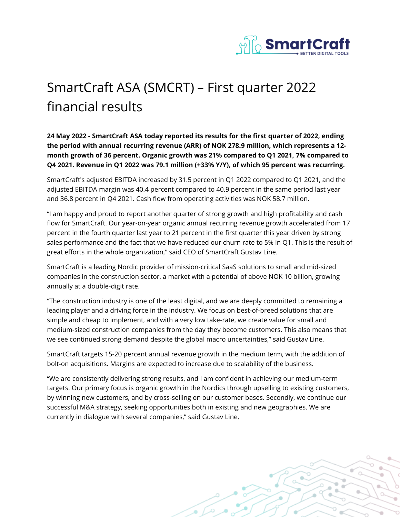

## SmartCraft ASA (SMCRT) – First quarter 2022 financial results

**24 May 2022 - SmartCraft ASA today reported its results for the first quarter of 2022, ending the period with annual recurring revenue (ARR) of NOK 278.9 million, which represents a 12 month growth of 36 percent. Organic growth was 21% compared to Q1 2021, 7% compared to Q4 2021. Revenue in Q1 2022 was 79.1 million (+33% Y/Y), of which 95 percent was recurring.** 

SmartCraft's adjusted EBITDA increased by 31.5 percent in Q1 2022 compared to Q1 2021, and the adjusted EBITDA margin was 40.4 percent compared to 40.9 percent in the same period last year and 36.8 percent in Q4 2021. Cash flow from operating activities was NOK 58.7 million.

"I am happy and proud to report another quarter of strong growth and high profitability and cash flow for SmartCraft. Our year-on-year organic annual recurring revenue growth accelerated from 17 percent in the fourth quarter last year to 21 percent in the first quarter this year driven by strong sales performance and the fact that we have reduced our churn rate to 5% in Q1. This is the result of great efforts in the whole organization," said CEO of SmartCraft Gustav Line.

SmartCraft is a leading Nordic provider of mission-critical SaaS solutions to small and mid-sized companies in the construction sector, a market with a potential of above NOK 10 billion, growing annually at a double-digit rate.

"The construction industry is one of the least digital, and we are deeply committed to remaining a leading player and a driving force in the industry. We focus on best-of-breed solutions that are simple and cheap to implement, and with a very low take-rate, we create value for small and medium-sized construction companies from the day they become customers. This also means that we see continued strong demand despite the global macro uncertainties," said Gustav Line.

SmartCraft targets 15-20 percent annual revenue growth in the medium term, with the addition of bolt-on acquisitions. Margins are expected to increase due to scalability of the business.

"We are consistently delivering strong results, and I am confident in achieving our medium-term targets. Our primary focus is organic growth in the Nordics through upselling to existing customers, by winning new customers, and by cross-selling on our customer bases. Secondly, we continue our successful M&A strategy, seeking opportunities both in existing and new geographies. We are currently in dialogue with several companies," said Gustav Line.